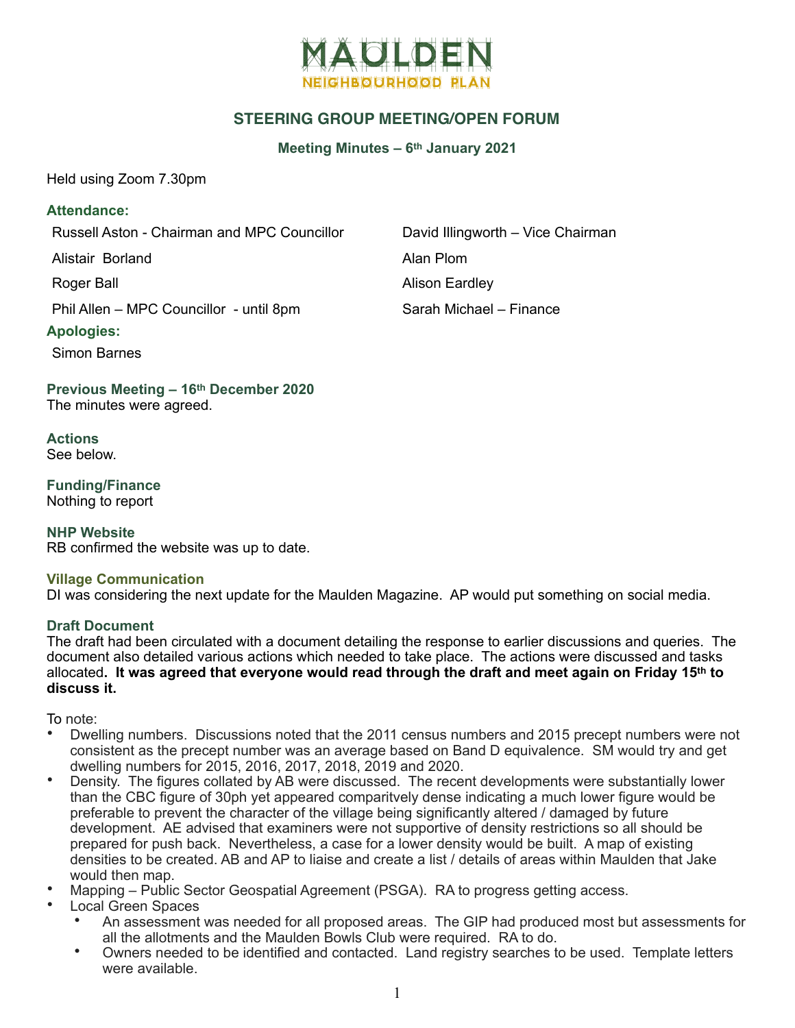

# **STEERING GROUP MEETING/OPEN FORUM**

# **Meeting Minutes – 6th January 2021**

Held using Zoom 7.30pm

# **Attendance:**

Russell Aston - Chairman and MPC Councillor David Illingworth – Vice Chairman

Alistair Borland **Alistair Borland** 

Roger Ball **Alison Eardley** 

Phil Allen – MPC Councillor - until 8pm Sarah Michael – Finance

# **Apologies:**

Simon Barnes

**Previous Meeting – 16th December 2020**  The minutes were agreed.

**Actions**  See below.

**Funding/Finance**  Nothing to report

**NHP Website**  RB confirmed the website was up to date.

#### **Village Communication**

DI was considering the next update for the Maulden Magazine. AP would put something on social media.

#### **Draft Document**

The draft had been circulated with a document detailing the response to earlier discussions and queries. The document also detailed various actions which needed to take place. The actions were discussed and tasks allocated**. It was agreed that everyone would read through the draft and meet again on Friday 15th to discuss it.**

To note:

- Dwelling numbers. Discussions noted that the 2011 census numbers and 2015 precept numbers were not consistent as the precept number was an average based on Band D equivalence. SM would try and get dwelling numbers for 2015, 2016, 2017, 2018, 2019 and 2020.
- Density. The figures collated by AB were discussed. The recent developments were substantially lower than the CBC figure of 30ph yet appeared comparitvely dense indicating a much lower figure would be preferable to prevent the character of the village being significantly altered / damaged by future development. AE advised that examiners were not supportive of density restrictions so all should be prepared for push back. Nevertheless, a case for a lower density would be built. A map of existing densities to be created. AB and AP to liaise and create a list / details of areas within Maulden that Jake would then map.
- Mapping Public Sector Geospatial Agreement (PSGA). RA to progress getting access.
- Local Green Spaces
	- An assessment was needed for all proposed areas. The GIP had produced most but assessments for all the allotments and the Maulden Bowls Club were required. RA to do.
	- Owners needed to be identified and contacted. Land registry searches to be used. Template letters were available.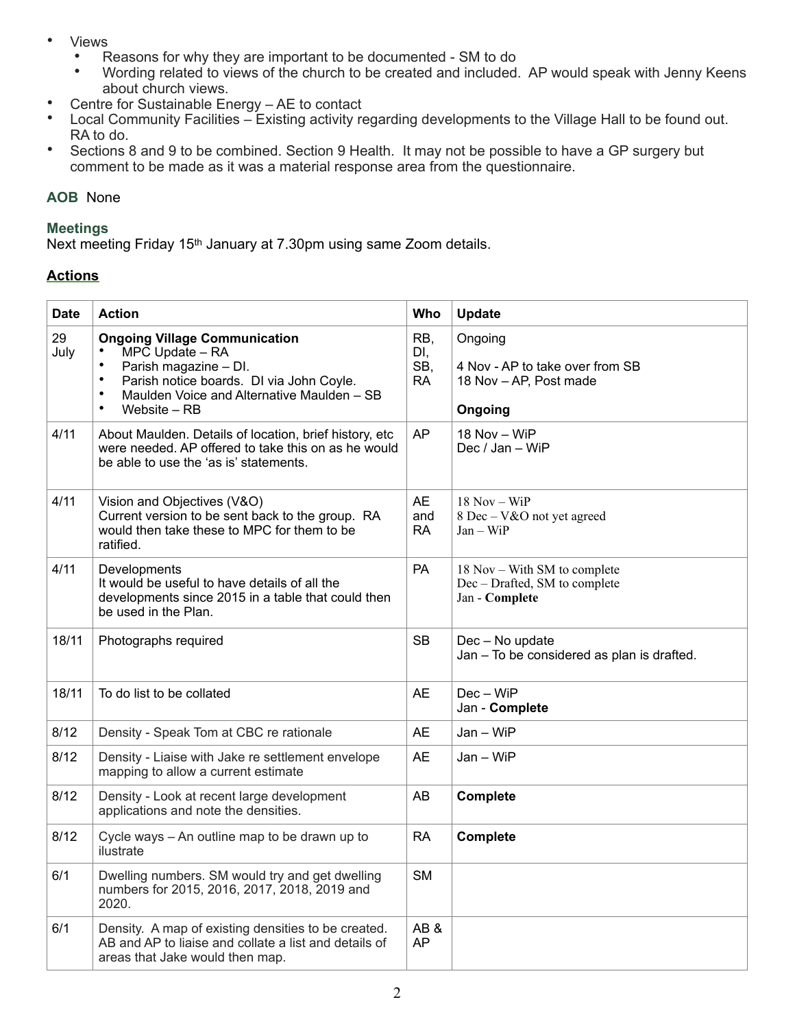- Views
	- Reasons for why they are important to be documented SM to do<br>• Werding related to viewe of the church to be created and included
	- Wording related to views of the church to be created and included. AP would speak with Jenny Keens about church views.
- Centre for Sustainable Energy AE to contact
- Local Community Facilities Existing activity regarding developments to the Village Hall to be found out. RA to do.
- Sections 8 and 9 to be combined. Section 9 Health. It may not be possible to have a GP surgery but comment to be made as it was a material response area from the questionnaire.

# **AOB** None

### **Meetings**

Next meeting Friday 15th January at 7.30pm using same Zoom details.

# **Actions**

| <b>Date</b> | <b>Action</b>                                                                                                                                                                                                                          | Who                            | Update                                                                          |
|-------------|----------------------------------------------------------------------------------------------------------------------------------------------------------------------------------------------------------------------------------------|--------------------------------|---------------------------------------------------------------------------------|
| 29<br>July  | <b>Ongoing Village Communication</b><br>MPC Update - RA<br>$\bullet$<br>Parish magazine - DI.<br>Parish notice boards. DI via John Coyle.<br>$\bullet$<br>Maulden Voice and Alternative Maulden - SB<br>$\bullet$<br>Website – RB<br>٠ | RB,<br>DI,<br>SB,<br><b>RA</b> | Ongoing<br>4 Nov - AP to take over from SB<br>18 Nov - AP, Post made<br>Ongoing |
| 4/11        | About Maulden. Details of location, brief history, etc<br>were needed. AP offered to take this on as he would<br>be able to use the 'as is' statements.                                                                                | AP                             | 18 Nov - WiP<br>Dec / Jan - WiP                                                 |
| 4/11        | Vision and Objectives (V&O)<br>Current version to be sent back to the group. RA<br>would then take these to MPC for them to be<br>ratified.                                                                                            | <b>AE</b><br>and<br>RA         | $18$ Nov - WiP<br>8 Dec – V&O not yet agreed<br>$Jan - WiP$                     |
| 4/11        | Developments<br>It would be useful to have details of all the<br>developments since 2015 in a table that could then<br>be used in the Plan.                                                                                            | PA                             | 18 Nov – With SM to complete<br>Dec - Drafted, SM to complete<br>Jan - Complete |
| 18/11       | Photographs required                                                                                                                                                                                                                   | <b>SB</b>                      | Dec - No update<br>Jan - To be considered as plan is drafted.                   |
| 18/11       | To do list to be collated                                                                                                                                                                                                              | <b>AE</b>                      | Dec - WiP<br>Jan - Complete                                                     |
| 8/12        | Density - Speak Tom at CBC re rationale                                                                                                                                                                                                | AE                             | Jan – WiP                                                                       |
| 8/12        | Density - Liaise with Jake re settlement envelope<br>mapping to allow a current estimate                                                                                                                                               | <b>AE</b>                      | Jan - WiP                                                                       |
| 8/12        | Density - Look at recent large development<br>applications and note the densities.                                                                                                                                                     | AB                             | <b>Complete</b>                                                                 |
| 8/12        | Cycle ways - An outline map to be drawn up to<br>ilustrate                                                                                                                                                                             | <b>RA</b>                      | <b>Complete</b>                                                                 |
| 6/1         | Dwelling numbers. SM would try and get dwelling<br>numbers for 2015, 2016, 2017, 2018, 2019 and<br>2020.                                                                                                                               | <b>SM</b>                      |                                                                                 |
| 6/1         | Density. A map of existing densities to be created.<br>AB and AP to liaise and collate a list and details of<br>areas that Jake would then map.                                                                                        | AB&<br><b>AP</b>               |                                                                                 |